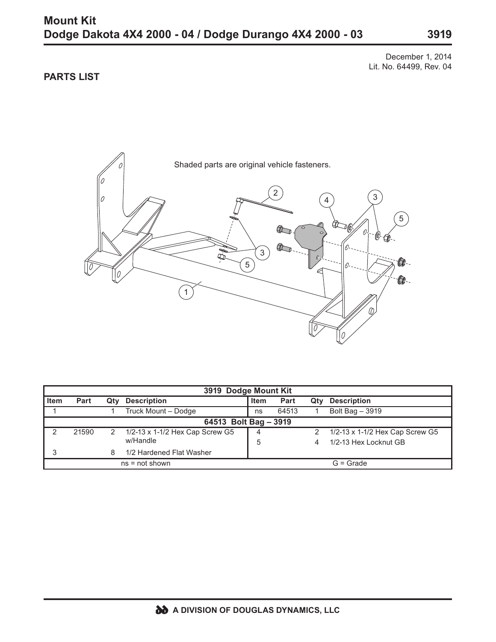## **Mount Kit Dodge Dakota 4X4 2000 - 04 / Dodge Durango 4X4 2000 - 03**

December 1, 2014 Lit. No. 64499, Rev. 04

## **PARTS LIST**



| 3919 Dodge Mount Kit  |       |              |                                 |             |       |     |                                 |
|-----------------------|-------|--------------|---------------------------------|-------------|-------|-----|---------------------------------|
| <b>Item</b>           | Part  | Qtv          | <b>Description</b>              | Item        | Part  | Qty | <b>Description</b>              |
|                       |       |              | Truck Mount - Dodge             | ns          | 64513 |     | Bolt Bag - 3919                 |
| 64513 Bolt Bag - 3919 |       |              |                                 |             |       |     |                                 |
| っ                     | 21590 | $\mathbf{2}$ | 1/2-13 x 1-1/2 Hex Cap Screw G5 | 4           |       |     | 1/2-13 x 1-1/2 Hex Cap Screw G5 |
|                       |       |              | w/Handle                        | 5           |       |     | 1/2-13 Hex Locknut GB           |
| 3                     |       | 8            | 1/2 Hardened Flat Washer        |             |       |     |                                 |
| $ns = not shown$      |       |              |                                 | $G =$ Grade |       |     |                                 |